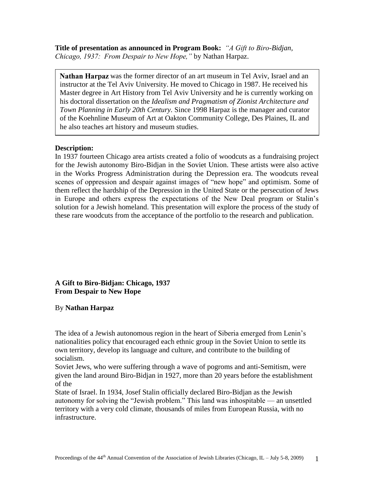**Title of presentation as announced in Program Book:** *"A Gift to Biro-Bidjan, Chicago, 1937: From Despair to New Hope,"* by Nathan Harpaz.

**Nathan Harpaz** was the former director of an art museum in Tel Aviv, Israel and an instructor at the Tel Aviv University. He moved to Chicago in 1987. He received his Master degree in Art History from Tel Aviv University and he is currently working on his doctoral dissertation on the *Idealism and Pragmatism of Zionist Architecture and Town Planning in Early 20th Century.* Since 1998 Harpaz is the manager and curator of the Koehnline Museum of Art at Oakton Community College, Des Plaines, IL and he also teaches art history and museum studies.

## **Description:**

In 1937 fourteen Chicago area artists created a folio of woodcuts as a fundraising project for the Jewish autonomy Biro-Bidjan in the Soviet Union. These artists were also active in the Works Progress Administration during the Depression era. The woodcuts reveal scenes of oppression and despair against images of "new hope" and optimism. Some of them reflect the hardship of the Depression in the United State or the persecution of Jews in Europe and others express the expectations of the New Deal program or Stalin's solution for a Jewish homeland. This presentation will explore the process of the study of these rare woodcuts from the acceptance of the portfolio to the research and publication.

## **A Gift to Biro-Bidjan: Chicago, 1937 From Despair to New Hope**

## By **Nathan Harpaz**

The idea of a Jewish autonomous region in the heart of Siberia emerged from Lenin's nationalities policy that encouraged each ethnic group in the Soviet Union to settle its own territory, develop its language and culture, and contribute to the building of socialism.

Soviet Jews, who were suffering through a wave of pogroms and anti-Semitism, were given the land around Biro-Bidjan in 1927, more than 20 years before the establishment of the

State of Israel. In 1934, Josef Stalin officially declared Biro-Bidjan as the Jewish autonomy for solving the "Jewish problem." This land was inhospitable — an unsettled territory with a very cold climate, thousands of miles from European Russia, with no infrastructure.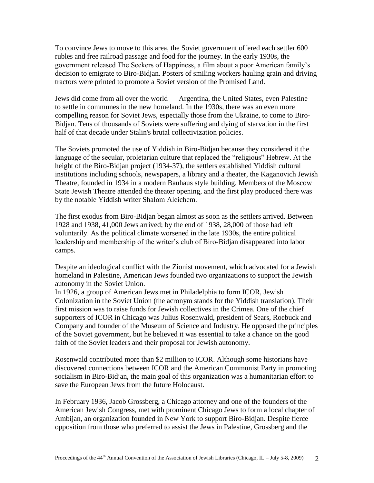To convince Jews to move to this area, the Soviet government offered each settler 600 rubles and free railroad passage and food for the journey. In the early 1930s, the government released The Seekers of Happiness, a film about a poor American family's decision to emigrate to Biro-Bidjan. Posters of smiling workers hauling grain and driving tractors were printed to promote a Soviet version of the Promised Land.

Jews did come from all over the world — Argentina, the United States, even Palestine to settle in communes in the new homeland. In the 1930s, there was an even more compelling reason for Soviet Jews, especially those from the Ukraine, to come to Biro-Bidjan. Tens of thousands of Soviets were suffering and dying of starvation in the first half of that decade under Stalin's brutal collectivization policies.

The Soviets promoted the use of Yiddish in Biro-Bidjan because they considered it the language of the secular, proletarian culture that replaced the "religious" Hebrew. At the height of the Biro-Bidjan project (1934-37), the settlers established Yiddish cultural institutions including schools, newspapers, a library and a theater, the Kaganovich Jewish Theatre, founded in 1934 in a modern Bauhaus style building. Members of the Moscow State Jewish Theatre attended the theater opening, and the first play produced there was by the notable Yiddish writer Shalom Aleichem.

The first exodus from Biro-Bidjan began almost as soon as the settlers arrived. Between 1928 and 1938, 41,000 Jews arrived; by the end of 1938, 28,000 of those had left voluntarily. As the political climate worsened in the late 1930s, the entire political leadership and membership of the writer's club of Biro-Bidjan disappeared into labor camps.

Despite an ideological conflict with the Zionist movement, which advocated for a Jewish homeland in Palestine, American Jews founded two organizations to support the Jewish autonomy in the Soviet Union.

In 1926, a group of American Jews met in Philadelphia to form ICOR, Jewish Colonization in the Soviet Union (the acronym stands for the Yiddish translation). Their first mission was to raise funds for Jewish collectives in the Crimea. One of the chief supporters of ICOR in Chicago was Julius Rosenwald, president of Sears, Roebuck and Company and founder of the Museum of Science and Industry. He opposed the principles of the Soviet government, but he believed it was essential to take a chance on the good faith of the Soviet leaders and their proposal for Jewish autonomy.

Rosenwald contributed more than \$2 million to ICOR. Although some historians have discovered connections between ICOR and the American Communist Party in promoting socialism in Biro-Bidjan, the main goal of this organization was a humanitarian effort to save the European Jews from the future Holocaust.

In February 1936, Jacob Grossberg, a Chicago attorney and one of the founders of the American Jewish Congress, met with prominent Chicago Jews to form a local chapter of Ambijan, an organization founded in New York to support Biro-Bidjan. Despite fierce opposition from those who preferred to assist the Jews in Palestine, Grossberg and the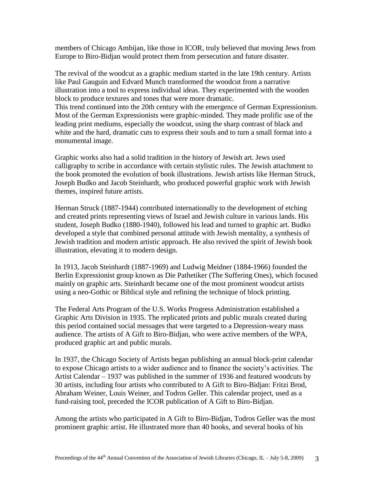members of Chicago Ambijan, like those in ICOR, truly believed that moving Jews from Europe to Biro-Bidjan would protect them from persecution and future disaster.

The revival of the woodcut as a graphic medium started in the late 19th century. Artists like Paul Gauguin and Edvard Munch transformed the woodcut from a narrative illustration into a tool to express individual ideas. They experimented with the wooden block to produce textures and tones that were more dramatic.

This trend continued into the 20th century with the emergence of German Expressionism. Most of the German Expressionists were graphic-minded. They made prolific use of the leading print mediums, especially the woodcut, using the sharp contrast of black and white and the hard, dramatic cuts to express their souls and to turn a small format into a monumental image.

Graphic works also had a solid tradition in the history of Jewish art. Jews used calligraphy to scribe in accordance with certain stylistic rules. The Jewish attachment to the book promoted the evolution of book illustrations. Jewish artists like Herman Struck, Joseph Budko and Jacob Steinhardt, who produced powerful graphic work with Jewish themes, inspired future artists.

Herman Struck (1887-1944) contributed internationally to the development of etching and created prints representing views of Israel and Jewish culture in various lands. His student, Joseph Budko (1880-1940), followed his lead and turned to graphic art. Budko developed a style that combined personal attitude with Jewish mentality, a synthesis of Jewish tradition and modern artistic approach. He also revived the spirit of Jewish book illustration, elevating it to modern design.

In 1913, Jacob Steinhardt (1887-1969) and Ludwig Meidner (1884-1966) founded the Berlin Expressionist group known as Die Pathetiker (The Suffering Ones), which focused mainly on graphic arts. Steinhardt became one of the most prominent woodcut artists using a neo-Gothic or Biblical style and refining the technique of block printing.

The Federal Arts Program of the U.S. Works Progress Administration established a Graphic Arts Division in 1935. The replicated prints and public murals created during this period contained social messages that were targeted to a Depression-weary mass audience. The artists of A Gift to Biro-Bidjan, who were active members of the WPA, produced graphic art and public murals.

In 1937, the Chicago Society of Artists began publishing an annual block-print calendar to expose Chicago artists to a wider audience and to finance the society's activities. The Artist Calendar – 1937 was published in the summer of 1936 and featured woodcuts by 30 artists, including four artists who contributed to A Gift to Biro-Bidjan: Fritzi Brod, Abraham Weiner, Louis Weiner, and Todros Geller. This calendar project, used as a fund-raising tool, preceded the ICOR publication of A Gift to Biro-Bidjan.

Among the artists who participated in A Gift to Biro-Bidjan, Todros Geller was the most prominent graphic artist. He illustrated more than 40 books, and several books of his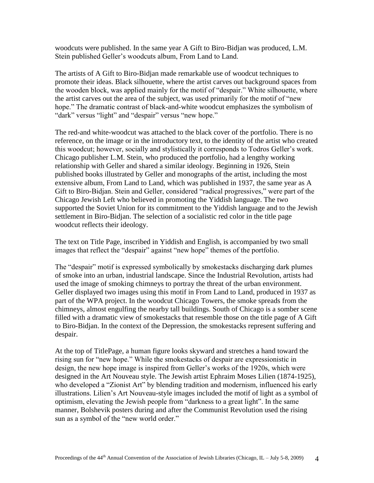woodcuts were published. In the same year A Gift to Biro-Bidjan was produced, L.M. Stein published Geller's woodcuts album, From Land to Land.

The artists of A Gift to Biro-Bidjan made remarkable use of woodcut techniques to promote their ideas. Black silhouette, where the artist carves out background spaces from the wooden block, was applied mainly for the motif of "despair." White silhouette, where the artist carves out the area of the subject, was used primarily for the motif of "new" hope." The dramatic contrast of black-and-white woodcut emphasizes the symbolism of "dark" versus "light" and "despair" versus "new hope."

The red-and white-woodcut was attached to the black cover of the portfolio. There is no reference, on the image or in the introductory text, to the identity of the artist who created this woodcut; however, socially and stylistically it corresponds to Todros Geller's work. Chicago publisher L.M. Stein, who produced the portfolio, had a lengthy working relationship with Geller and shared a similar ideology. Beginning in 1926, Stein published books illustrated by Geller and monographs of the artist, including the most extensive album, From Land to Land, which was published in 1937, the same year as A Gift to Biro-Bidjan. Stein and Geller, considered "radical progressives," were part of the Chicago Jewish Left who believed in promoting the Yiddish language. The two supported the Soviet Union for its commitment to the Yiddish language and to the Jewish settlement in Biro-Bidjan. The selection of a socialistic red color in the title page woodcut reflects their ideology.

The text on Title Page, inscribed in Yiddish and English, is accompanied by two small images that reflect the "despair" against "new hope" themes of the portfolio.

The "despair" motif is expressed symbolically by smokestacks discharging dark plumes of smoke into an urban, industrial landscape. Since the Industrial Revolution, artists had used the image of smoking chimneys to portray the threat of the urban environment. Geller displayed two images using this motif in From Land to Land, produced in 1937 as part of the WPA project. In the woodcut Chicago Towers, the smoke spreads from the chimneys, almost engulfing the nearby tall buildings. South of Chicago is a somber scene filled with a dramatic view of smokestacks that resemble those on the title page of A Gift to Biro-Bidjan. In the context of the Depression, the smokestacks represent suffering and despair.

At the top of TitlePage, a human figure looks skyward and stretches a hand toward the rising sun for "new hope." While the smokestacks of despair are expressionistic in design, the new hope image is inspired from Geller's works of the 1920s, which were designed in the Art Nouveau style. The Jewish artist Ephraim Moses Lilien (1874-1925), who developed a "Zionist Art" by blending tradition and modernism, influenced his early illustrations. Lilien's Art Nouveau-style images included the motif of light as a symbol of optimism, elevating the Jewish people from "darkness to a great light". In the same manner, Bolshevik posters during and after the Communist Revolution used the rising sun as a symbol of the "new world order."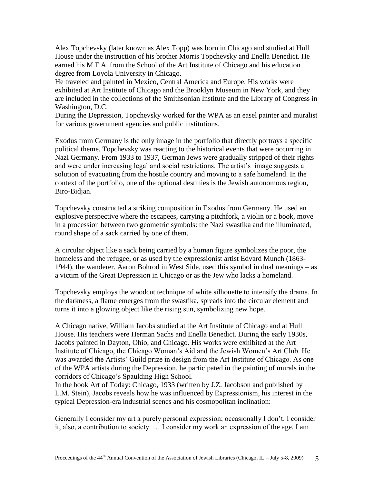Alex Topchevsky (later known as Alex Topp) was born in Chicago and studied at Hull House under the instruction of his brother Morris Topchevsky and Enella Benedict. He earned his M.F.A. from the School of the Art Institute of Chicago and his education degree from Loyola University in Chicago.

He traveled and painted in Mexico, Central America and Europe. His works were exhibited at Art Institute of Chicago and the Brooklyn Museum in New York, and they are included in the collections of the Smithsonian Institute and the Library of Congress in Washington, D.C.

During the Depression, Topchevsky worked for the WPA as an easel painter and muralist for various government agencies and public institutions.

Exodus from Germany is the only image in the portfolio that directly portrays a specific political theme. Topchevsky was reacting to the historical events that were occurring in Nazi Germany. From 1933 to 1937, German Jews were gradually stripped of their rights and were under increasing legal and social restrictions. The artist's image suggests a solution of evacuating from the hostile country and moving to a safe homeland. In the context of the portfolio, one of the optional destinies is the Jewish autonomous region, Biro-Bidjan.

Topchevsky constructed a striking composition in Exodus from Germany. He used an explosive perspective where the escapees, carrying a pitchfork, a violin or a book, move in a procession between two geometric symbols: the Nazi swastika and the illuminated, round shape of a sack carried by one of them.

A circular object like a sack being carried by a human figure symbolizes the poor, the homeless and the refugee, or as used by the expressionist artist Edvard Munch (1863- 1944), the wanderer. Aaron Bohrod in West Side, used this symbol in dual meanings – as a victim of the Great Depression in Chicago or as the Jew who lacks a homeland.

Topchevsky employs the woodcut technique of white silhouette to intensify the drama. In the darkness, a flame emerges from the swastika, spreads into the circular element and turns it into a glowing object like the rising sun, symbolizing new hope.

A Chicago native, William Jacobs studied at the Art Institute of Chicago and at Hull House. His teachers were Herman Sachs and Enella Benedict. During the early 1930s, Jacobs painted in Dayton, Ohio, and Chicago. His works were exhibited at the Art Institute of Chicago, the Chicago Woman's Aid and the Jewish Women's Art Club. He was awarded the Artists' Guild prize in design from the Art Institute of Chicago. As one of the WPA artists during the Depression, he participated in the painting of murals in the corridors of Chicago's Spaulding High School.

In the book Art of Today: Chicago, 1933 (written by J.Z. Jacobson and published by L.M. Stein), Jacobs reveals how he was influenced by Expressionism, his interest in the typical Depression-era industrial scenes and his cosmopolitan inclination:

Generally I consider my art a purely personal expression; occasionally I don't. I consider it, also, a contribution to society. … I consider my work an expression of the age. I am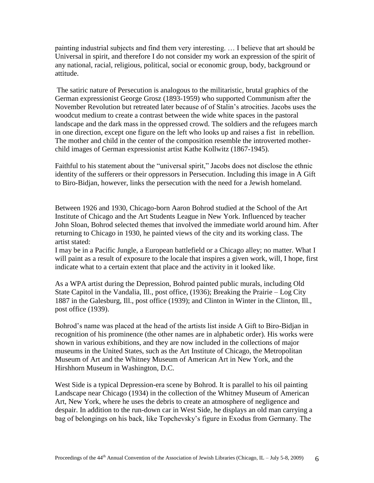painting industrial subjects and find them very interesting. … I believe that art should be Universal in spirit, and therefore I do not consider my work an expression of the spirit of any national, racial, religious, political, social or economic group, body, background or attitude.

The satiric nature of Persecution is analogous to the militaristic, brutal graphics of the German expressionist George Grosz (1893-1959) who supported Communism after the November Revolution but retreated later because of of Stalin's atrocities. Jacobs uses the woodcut medium to create a contrast between the wide white spaces in the pastoral landscape and the dark mass in the oppressed crowd. The soldiers and the refugees march in one direction, except one figure on the left who looks up and raises a fist in rebellion. The mother and child in the center of the composition resemble the introverted motherchild images of German expressionist artist Kathe Kollwitz (1867-1945).

Faithful to his statement about the "universal spirit," Jacobs does not disclose the ethnic identity of the sufferers or their oppressors in Persecution. Including this image in A Gift to Biro-Bidjan, however, links the persecution with the need for a Jewish homeland.

Between 1926 and 1930, Chicago-born Aaron Bohrod studied at the School of the Art Institute of Chicago and the Art Students League in New York. Influenced by teacher John Sloan, Bohrod selected themes that involved the immediate world around him. After returning to Chicago in 1930, he painted views of the city and its working class. The artist stated:

I may be in a Pacific Jungle, a European battlefield or a Chicago alley; no matter. What I will paint as a result of exposure to the locale that inspires a given work, will, I hope, first indicate what to a certain extent that place and the activity in it looked like.

As a WPA artist during the Depression, Bohrod painted public murals, including Old State Capitol in the Vandalia, Ill., post office, (1936); Breaking the Prairie – Log City 1887 in the Galesburg, Ill., post office (1939); and Clinton in Winter in the Clinton, Ill., post office (1939).

Bohrod's name was placed at the head of the artists list inside A Gift to Biro-Bidjan in recognition of his prominence (the other names are in alphabetic order). His works were shown in various exhibitions, and they are now included in the collections of major museums in the United States, such as the Art Institute of Chicago, the Metropolitan Museum of Art and the Whitney Museum of American Art in New York, and the Hirshhorn Museum in Washington, D.C.

West Side is a typical Depression-era scene by Bohrod. It is parallel to his oil painting Landscape near Chicago (1934) in the collection of the Whitney Museum of American Art, New York, where he uses the debris to create an atmosphere of negligence and despair. In addition to the run-down car in West Side, he displays an old man carrying a bag of belongings on his back, like Topchevsky's figure in Exodus from Germany. The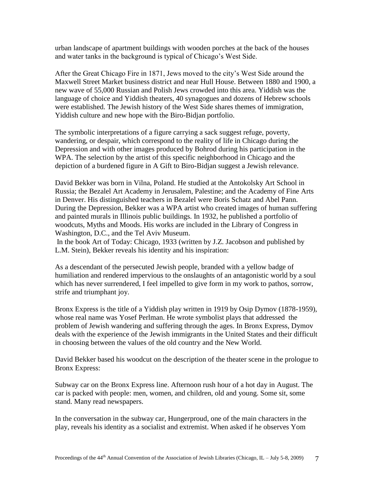urban landscape of apartment buildings with wooden porches at the back of the houses and water tanks in the background is typical of Chicago's West Side.

After the Great Chicago Fire in 1871, Jews moved to the city's West Side around the Maxwell Street Market business district and near Hull House. Between 1880 and 1900, a new wave of 55,000 Russian and Polish Jews crowded into this area. Yiddish was the language of choice and Yiddish theaters, 40 synagogues and dozens of Hebrew schools were established. The Jewish history of the West Side shares themes of immigration, Yiddish culture and new hope with the Biro-Bidjan portfolio.

The symbolic interpretations of a figure carrying a sack suggest refuge, poverty, wandering, or despair, which correspond to the reality of life in Chicago during the Depression and with other images produced by Bohrod during his participation in the WPA. The selection by the artist of this specific neighborhood in Chicago and the depiction of a burdened figure in A Gift to Biro-Bidjan suggest a Jewish relevance.

David Bekker was born in Vilna, Poland. He studied at the Antokolsky Art School in Russia; the Bezalel Art Academy in Jerusalem, Palestine; and the Academy of Fine Arts in Denver. His distinguished teachers in Bezalel were Boris Schatz and Abel Pann. During the Depression, Bekker was a WPA artist who created images of human suffering and painted murals in Illinois public buildings. In 1932, he published a portfolio of woodcuts, Myths and Moods. His works are included in the Library of Congress in Washington, D.C., and the Tel Aviv Museum.

In the book Art of Today: Chicago, 1933 (written by J.Z. Jacobson and published by L.M. Stein), Bekker reveals his identity and his inspiration:

As a descendant of the persecuted Jewish people, branded with a yellow badge of humiliation and rendered impervious to the onslaughts of an antagonistic world by a soul which has never surrendered, I feel impelled to give form in my work to pathos, sorrow, strife and triumphant joy.

Bronx Express is the title of a Yiddish play written in 1919 by Osip Dymov (1878-1959), whose real name was Yosef Perlman. He wrote symbolist plays that addressed the problem of Jewish wandering and suffering through the ages. In Bronx Express, Dymov deals with the experience of the Jewish immigrants in the United States and their difficult in choosing between the values of the old country and the New World.

David Bekker based his woodcut on the description of the theater scene in the prologue to Bronx Express:

Subway car on the Bronx Express line. Afternoon rush hour of a hot day in August. The car is packed with people: men, women, and children, old and young. Some sit, some stand. Many read newspapers.

In the conversation in the subway car, Hungerproud, one of the main characters in the play, reveals his identity as a socialist and extremist. When asked if he observes Yom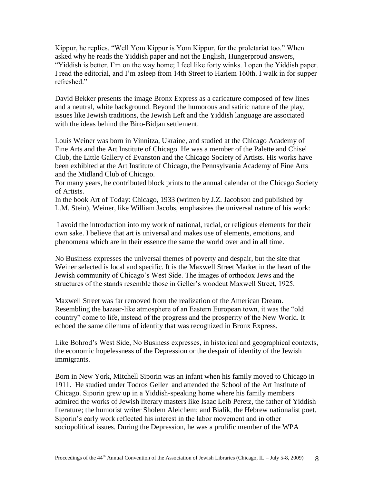Kippur, he replies, "Well Yom Kippur is Yom Kippur, for the proletariat too." When asked why he reads the Yiddish paper and not the English, Hungerproud answers, "Yiddish is better. I'm on the way home; I feel like forty winks. I open the Yiddish paper. I read the editorial, and I'm asleep from 14th Street to Harlem 160th. I walk in for supper refreshed."

David Bekker presents the image Bronx Express as a caricature composed of few lines and a neutral, white background. Beyond the humorous and satiric nature of the play, issues like Jewish traditions, the Jewish Left and the Yiddish language are associated with the ideas behind the Biro-Bidjan settlement.

Louis Weiner was born in Vinnitza, Ukraine, and studied at the Chicago Academy of Fine Arts and the Art Institute of Chicago. He was a member of the Palette and Chisel Club, the Little Gallery of Evanston and the Chicago Society of Artists. His works have been exhibited at the Art Institute of Chicago, the Pennsylvania Academy of Fine Arts and the Midland Club of Chicago.

For many years, he contributed block prints to the annual calendar of the Chicago Society of Artists.

In the book Art of Today: Chicago, 1933 (written by J.Z. Jacobson and published by L.M. Stein), Weiner, like William Jacobs, emphasizes the universal nature of his work:

I avoid the introduction into my work of national, racial, or religious elements for their own sake. I believe that art is universal and makes use of elements, emotions, and phenomena which are in their essence the same the world over and in all time.

No Business expresses the universal themes of poverty and despair, but the site that Weiner selected is local and specific. It is the Maxwell Street Market in the heart of the Jewish community of Chicago's West Side. The images of orthodox Jews and the structures of the stands resemble those in Geller's woodcut Maxwell Street, 1925.

Maxwell Street was far removed from the realization of the American Dream. Resembling the bazaar-like atmosphere of an Eastern European town, it was the "old" country" come to life, instead of the progress and the prosperity of the New World. It echoed the same dilemma of identity that was recognized in Bronx Express.

Like Bohrod's West Side, No Business expresses, in historical and geographical contexts, the economic hopelessness of the Depression or the despair of identity of the Jewish immigrants.

Born in New York, Mitchell Siporin was an infant when his family moved to Chicago in 1911. He studied under Todros Geller and attended the School of the Art Institute of Chicago. Siporin grew up in a Yiddish-speaking home where his family members admired the works of Jewish literary masters like Isaac Leib Peretz, the father of Yiddish literature; the humorist writer Sholem Aleichem; and Bialik, the Hebrew nationalist poet. Siporin's early work reflected his interest in the labor movement and in other sociopolitical issues. During the Depression, he was a prolific member of the WPA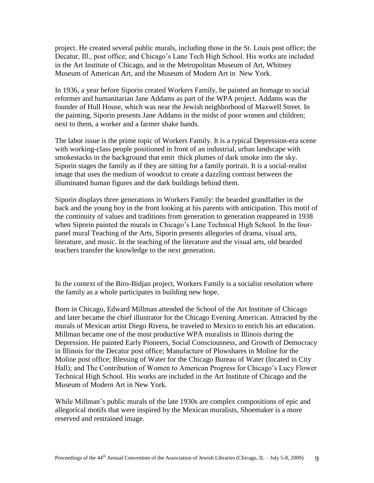project. He created several public murals, including those in the St. Louis post office; the Decatur, Ill., post office; and Chicago's Lane Tech High School. His works are included in the Art Institute of Chicago, and in the Metropolitan Museum of Art, Whitney Museum of American Art, and the Museum of Modern Art in New York.

In 1936, a year before Siporin created Workers Family, he painted an homage to social reformer and humanitarian Jane Addams as part of the WPA project. Addams was the founder of Hull House, which was near the Jewish neighborhood of Maxwell Street. In the painting, Siporin presents Jane Addams in the midst of poor women and children; next to them, a worker and a farmer shake hands.

The labor issue is the prime topic of Workers Family. It is a typical Depression-era scene with working-class people positioned in front of an industrial, urban landscape with smokestacks in the background that emit thick plumes of dark smoke into the sky. Siporin stages the family as if they are sitting for a family portrait. It is a social-realist image that uses the medium of woodcut to create a dazzling contrast between the illuminated human figures and the dark buildings behind them.

Siporin displays three generations in Workers Family: the bearded grandfather in the back and the young boy in the front looking at his parents with anticipation. This motif of the continuity of values and traditions from generation to generation reappeared in 1938 when Siporin painted the murals in Chicago's Lane Technical High School. In the fourpanel mural Teaching of the Arts, Siporin presents allegories of drama, visual arts, literature, and music. In the teaching of the literature and the visual arts, old bearded teachers transfer the knowledge to the next generation.

In the context of the Biro-Bidjan project, Workers Family is a socialist resolution where the family as a whole participates in building new hope.

Born in Chicago, Edward Millman attended the School of the Art Institute of Chicago and later became the chief illustrator for the Chicago Evening American. Attracted by the murals of Mexican artist Diego Rivera, he traveled to Mexico to enrich his art education. Millman became one of the most productive WPA muralists in Illinois during the Depression. He painted Early Pioneers, Social Consciousness, and Growth of Democracy in Illinois for the Decatur post office; Manufacture of Plowshares in Moline for the Moline post office; Blessing of Water for the Chicago Bureau of Water (located in City Hall); and The Contribution of Women to American Progress for Chicago's Lucy Flower Technical High School. His works are included in the Art Institute of Chicago and the Museum of Modern Art in New York.

While Millman's public murals of the late 1930s are complex compositions of epic and allegorical motifs that were inspired by the Mexican muralists, Shoemaker is a more reserved and restrained image.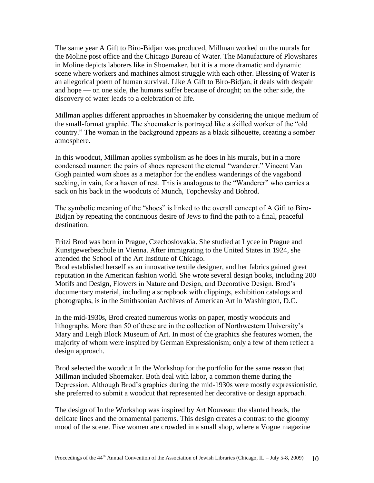The same year A Gift to Biro-Bidjan was produced, Millman worked on the murals for the Moline post office and the Chicago Bureau of Water. The Manufacture of Plowshares in Moline depicts laborers like in Shoemaker, but it is a more dramatic and dynamic scene where workers and machines almost struggle with each other. Blessing of Water is an allegorical poem of human survival. Like A Gift to Biro-Bidjan, it deals with despair and hope — on one side, the humans suffer because of drought; on the other side, the discovery of water leads to a celebration of life.

Millman applies different approaches in Shoemaker by considering the unique medium of the small-format graphic. The shoemaker is portrayed like a skilled worker of the "old" country." The woman in the background appears as a black silhouette, creating a somber atmosphere.

In this woodcut, Millman applies symbolism as he does in his murals, but in a more condensed manner: the pairs of shoes represent the eternal "wanderer." Vincent Van Gogh painted worn shoes as a metaphor for the endless wanderings of the vagabond seeking, in vain, for a haven of rest. This is analogous to the "Wanderer" who carries a sack on his back in the woodcuts of Munch, Topchevsky and Bohrod.

The symbolic meaning of the "shoes" is linked to the overall concept of A Gift to Biro-Bidjan by repeating the continuous desire of Jews to find the path to a final, peaceful destination.

Fritzi Brod was born in Prague, Czechoslovakia. She studied at Lycee in Prague and Kunstgewerbeschule in Vienna. After immigrating to the United States in 1924, she attended the School of the Art Institute of Chicago.

Brod established herself as an innovative textile designer, and her fabrics gained great reputation in the American fashion world. She wrote several design books, including 200 Motifs and Design, Flowers in Nature and Design, and Decorative Design. Brod's documentary material, including a scrapbook with clippings, exhibition catalogs and photographs, is in the Smithsonian Archives of American Art in Washington, D.C.

In the mid-1930s, Brod created numerous works on paper, mostly woodcuts and lithographs. More than 50 of these are in the collection of Northwestern University's Mary and Leigh Block Museum of Art. In most of the graphics she features women, the majority of whom were inspired by German Expressionism; only a few of them reflect a design approach.

Brod selected the woodcut In the Workshop for the portfolio for the same reason that Millman included Shoemaker. Both deal with labor, a common theme during the Depression. Although Brod's graphics during the mid-1930s were mostly expressionistic, she preferred to submit a woodcut that represented her decorative or design approach.

The design of In the Workshop was inspired by Art Nouveau: the slanted heads, the delicate lines and the ornamental patterns. This design creates a contrast to the gloomy mood of the scene. Five women are crowded in a small shop, where a Vogue magazine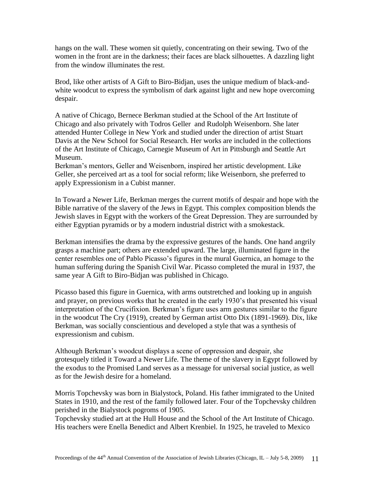hangs on the wall. These women sit quietly, concentrating on their sewing. Two of the women in the front are in the darkness; their faces are black silhouettes. A dazzling light from the window illuminates the rest.

Brod, like other artists of A Gift to Biro-Bidjan, uses the unique medium of black-andwhite woodcut to express the symbolism of dark against light and new hope overcoming despair.

A native of Chicago, Bernece Berkman studied at the School of the Art Institute of Chicago and also privately with Todros Geller and Rudolph Weisenborn. She later attended Hunter College in New York and studied under the direction of artist Stuart Davis at the New School for Social Research. Her works are included in the collections of the Art Institute of Chicago, Carnegie Museum of Art in Pittsburgh and Seattle Art Museum.

Berkman's mentors, Geller and Weisenborn, inspired her artistic development. Like Geller, she perceived art as a tool for social reform; like Weisenborn, she preferred to apply Expressionism in a Cubist manner.

In Toward a Newer Life, Berkman merges the current motifs of despair and hope with the Bible narrative of the slavery of the Jews in Egypt. This complex composition blends the Jewish slaves in Egypt with the workers of the Great Depression. They are surrounded by either Egyptian pyramids or by a modern industrial district with a smokestack.

Berkman intensifies the drama by the expressive gestures of the hands. One hand angrily grasps a machine part; others are extended upward. The large, illuminated figure in the center resembles one of Pablo Picasso's figures in the mural Guernica, an homage to the human suffering during the Spanish Civil War. Picasso completed the mural in 1937, the same year A Gift to Biro-Bidjan was published in Chicago.

Picasso based this figure in Guernica, with arms outstretched and looking up in anguish and prayer, on previous works that he created in the early 1930's that presented his visual interpretation of the Crucifixion. Berkman's figure uses arm gestures similar to the figure in the woodcut The Cry (1919), created by German artist Otto Dix (1891-1969). Dix, like Berkman, was socially conscientious and developed a style that was a synthesis of expressionism and cubism.

Although Berkman's woodcut displays a scene of oppression and despair, she grotesquely titled it Toward a Newer Life. The theme of the slavery in Egypt followed by the exodus to the Promised Land serves as a message for universal social justice, as well as for the Jewish desire for a homeland.

Morris Topchevsky was born in Bialystock, Poland. His father immigrated to the United States in 1910, and the rest of the family followed later. Four of the Topchevsky children perished in the Bialystock pogroms of 1905.

Topchevsky studied art at the Hull House and the School of the Art Institute of Chicago. His teachers were Enella Benedict and Albert Krenbiel. In 1925, he traveled to Mexico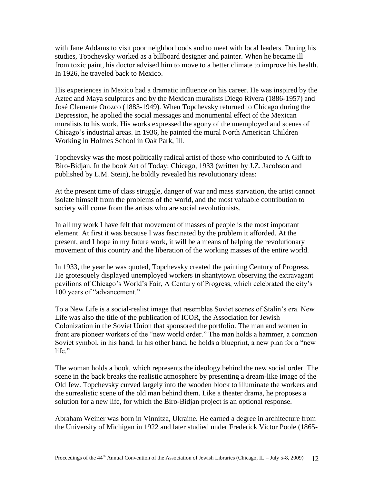with Jane Addams to visit poor neighborhoods and to meet with local leaders. During his studies, Topchevsky worked as a billboard designer and painter. When he became ill from toxic paint, his doctor advised him to move to a better climate to improve his health. In 1926, he traveled back to Mexico.

His experiences in Mexico had a dramatic influence on his career. He was inspired by the Aztec and Maya sculptures and by the Mexican muralists Diego Rivera (1886-1957) and José Clemente Orozco (1883-1949). When Topchevsky returned to Chicago during the Depression, he applied the social messages and monumental effect of the Mexican muralists to his work. His works expressed the agony of the unemployed and scenes of Chicago's industrial areas. In 1936, he painted the mural North American Children Working in Holmes School in Oak Park, Ill.

Topchevsky was the most politically radical artist of those who contributed to A Gift to Biro-Bidjan. In the book Art of Today: Chicago, 1933 (written by J.Z. Jacobson and published by L.M. Stein), he boldly revealed his revolutionary ideas:

At the present time of class struggle, danger of war and mass starvation, the artist cannot isolate himself from the problems of the world, and the most valuable contribution to society will come from the artists who are social revolutionists.

In all my work I have felt that movement of masses of people is the most important element. At first it was because I was fascinated by the problem it afforded. At the present, and I hope in my future work, it will be a means of helping the revolutionary movement of this country and the liberation of the working masses of the entire world.

In 1933, the year he was quoted, Topchevsky created the painting Century of Progress. He grotesquely displayed unemployed workers in shantytown observing the extravagant pavilions of Chicago's World's Fair, A Century of Progress, which celebrated the city's 100 years of "advancement."

To a New Life is a social-realist image that resembles Soviet scenes of Stalin's era. New Life was also the title of the publication of ICOR, the Association for Jewish Colonization in the Soviet Union that sponsored the portfolio. The man and women in front are pioneer workers of the "new world order." The man holds a hammer, a common Soviet symbol, in his hand. In his other hand, he holds a blueprint, a new plan for a "new life."

The woman holds a book, which represents the ideology behind the new social order. The scene in the back breaks the realistic atmosphere by presenting a dream-like image of the Old Jew. Topchevsky curved largely into the wooden block to illuminate the workers and the surrealistic scene of the old man behind them. Like a theater drama, he proposes a solution for a new life, for which the Biro-Bidjan project is an optional response.

Abraham Weiner was born in Vinnitza, Ukraine. He earned a degree in architecture from the University of Michigan in 1922 and later studied under Frederick Victor Poole (1865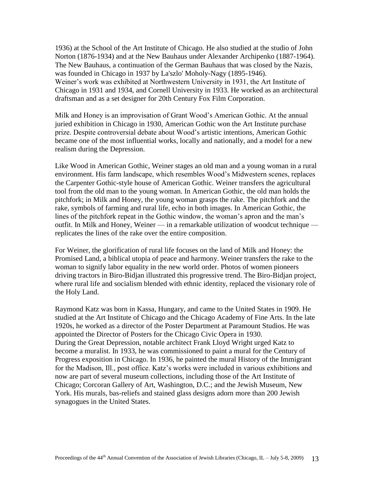1936) at the School of the Art Institute of Chicago. He also studied at the studio of John Norton (1876-1934) and at the New Bauhaus under Alexander Archipenko (1887-1964). The New Bauhaus, a continuation of the German Bauhaus that was closed by the Nazis, was founded in Chicago in 1937 by La'szlo' Moholy-Nagy (1895-1946). Weiner's work was exhibited at Northwestern University in 1931, the Art Institute of Chicago in 1931 and 1934, and Cornell University in 1933. He worked as an architectural draftsman and as a set designer for 20th Century Fox Film Corporation.

Milk and Honey is an improvisation of Grant Wood's American Gothic. At the annual juried exhibition in Chicago in 1930, American Gothic won the Art Institute purchase prize. Despite controversial debate about Wood's artistic intentions, American Gothic became one of the most influential works, locally and nationally, and a model for a new realism during the Depression.

Like Wood in American Gothic, Weiner stages an old man and a young woman in a rural environment. His farm landscape, which resembles Wood's Midwestern scenes, replaces the Carpenter Gothic-style house of American Gothic. Weiner transfers the agricultural tool from the old man to the young woman. In American Gothic, the old man holds the pitchfork; in Milk and Honey, the young woman grasps the rake. The pitchfork and the rake, symbols of farming and rural life, echo in both images. In American Gothic, the lines of the pitchfork repeat in the Gothic window, the woman's apron and the man's outfit. In Milk and Honey, Weiner — in a remarkable utilization of woodcut technique replicates the lines of the rake over the entire composition.

For Weiner, the glorification of rural life focuses on the land of Milk and Honey: the Promised Land, a biblical utopia of peace and harmony. Weiner transfers the rake to the woman to signify labor equality in the new world order. Photos of women pioneers driving tractors in Biro-Bidjan illustrated this progressive trend. The Biro-Bidjan project, where rural life and socialism blended with ethnic identity, replaced the visionary role of the Holy Land.

Raymond Katz was born in Kassa, Hungary, and came to the United States in 1909. He studied at the Art Institute of Chicago and the Chicago Academy of Fine Arts. In the late 1920s, he worked as a director of the Poster Department at Paramount Studios. He was appointed the Director of Posters for the Chicago Civic Opera in 1930. During the Great Depression, notable architect Frank Lloyd Wright urged Katz to become a muralist. In 1933, he was commissioned to paint a mural for the Century of Progress exposition in Chicago. In 1936, he painted the mural History of the Immigrant for the Madison, Ill., post office. Katz's works were included in various exhibitions and now are part of several museum collections, including those of the Art Institute of Chicago; Corcoran Gallery of Art, Washington, D.C.; and the Jewish Museum, New York. His murals, bas-reliefs and stained glass designs adorn more than 200 Jewish synagogues in the United States.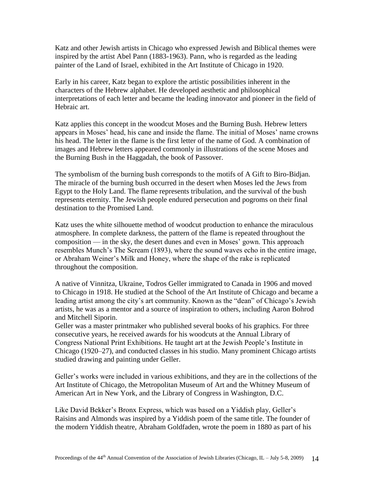Katz and other Jewish artists in Chicago who expressed Jewish and Biblical themes were inspired by the artist Abel Pann (1883-1963). Pann, who is regarded as the leading painter of the Land of Israel, exhibited in the Art Institute of Chicago in 1920.

Early in his career, Katz began to explore the artistic possibilities inherent in the characters of the Hebrew alphabet. He developed aesthetic and philosophical interpretations of each letter and became the leading innovator and pioneer in the field of Hebraic art.

Katz applies this concept in the woodcut Moses and the Burning Bush. Hebrew letters appears in Moses' head, his cane and inside the flame. The initial of Moses' name crowns his head. The letter in the flame is the first letter of the name of God. A combination of images and Hebrew letters appeared commonly in illustrations of the scene Moses and the Burning Bush in the Haggadah, the book of Passover.

The symbolism of the burning bush corresponds to the motifs of A Gift to Biro-Bidjan. The miracle of the burning bush occurred in the desert when Moses led the Jews from Egypt to the Holy Land. The flame represents tribulation, and the survival of the bush represents eternity. The Jewish people endured persecution and pogroms on their final destination to the Promised Land.

Katz uses the white silhouette method of woodcut production to enhance the miraculous atmosphere. In complete darkness, the pattern of the flame is repeated throughout the composition — in the sky, the desert dunes and even in Moses' gown. This approach resembles Munch's The Scream (1893), where the sound waves echo in the entire image, or Abraham Weiner's Milk and Honey, where the shape of the rake is replicated throughout the composition.

A native of Vinnitza, Ukraine, Todros Geller immigrated to Canada in 1906 and moved to Chicago in 1918. He studied at the School of the Art Institute of Chicago and became a leading artist among the city's art community. Known as the "dean" of Chicago's Jewish artists, he was as a mentor and a source of inspiration to others, including Aaron Bohrod and Mitchell Siporin.

Geller was a master printmaker who published several books of his graphics. For three consecutive years, he received awards for his woodcuts at the Annual Library of Congress National Print Exhibitions. He taught art at the Jewish People's Institute in Chicago (1920–27), and conducted classes in his studio. Many prominent Chicago artists studied drawing and painting under Geller.

Geller's works were included in various exhibitions, and they are in the collections of the Art Institute of Chicago, the Metropolitan Museum of Art and the Whitney Museum of American Art in New York, and the Library of Congress in Washington, D.C.

Like David Bekker's Bronx Express, which was based on a Yiddish play, Geller's Raisins and Almonds was inspired by a Yiddish poem of the same title. The founder of the modern Yiddish theatre, Abraham Goldfaden, wrote the poem in 1880 as part of his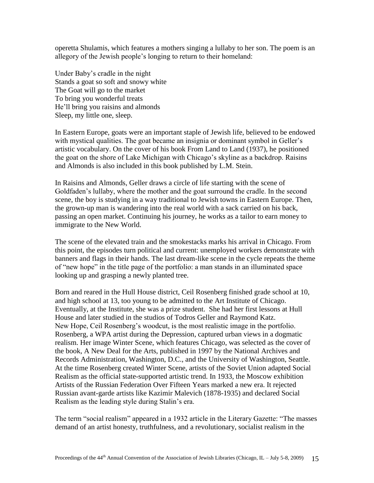operetta Shulamis, which features a mothers singing a lullaby to her son. The poem is an allegory of the Jewish people's longing to return to their homeland:

Under Baby's cradle in the night Stands a goat so soft and snowy white The Goat will go to the market To bring you wonderful treats He'll bring you raisins and almonds Sleep, my little one, sleep.

In Eastern Europe, goats were an important staple of Jewish life, believed to be endowed with mystical qualities. The goat became an insignia or dominant symbol in Geller's artistic vocabulary. On the cover of his book From Land to Land (1937), he positioned the goat on the shore of Lake Michigan with Chicago's skyline as a backdrop. Raisins and Almonds is also included in this book published by L.M. Stein.

In Raisins and Almonds, Geller draws a circle of life starting with the scene of Goldfaden's lullaby, where the mother and the goat surround the cradle. In the second scene, the boy is studying in a way traditional to Jewish towns in Eastern Europe. Then, the grown-up man is wandering into the real world with a sack carried on his back, passing an open market. Continuing his journey, he works as a tailor to earn money to immigrate to the New World.

The scene of the elevated train and the smokestacks marks his arrival in Chicago. From this point, the episodes turn political and current: unemployed workers demonstrate with banners and flags in their hands. The last dream-like scene in the cycle repeats the theme of "new hope" in the title page of the portfolio: a man stands in an illuminated space looking up and grasping a newly planted tree.

Born and reared in the Hull House district, Ceil Rosenberg finished grade school at 10, and high school at 13, too young to be admitted to the Art Institute of Chicago. Eventually, at the Institute, she was a prize student. She had her first lessons at Hull House and later studied in the studios of Todros Geller and Raymond Katz. New Hope, Ceil Rosenberg's woodcut, is the most realistic image in the portfolio. Rosenberg, a WPA artist during the Depression, captured urban views in a dogmatic realism. Her image Winter Scene, which features Chicago, was selected as the cover of the book, A New Deal for the Arts, published in 1997 by the National Archives and Records Administration, Washington, D.C., and the University of Washington, Seattle. At the time Rosenberg created Winter Scene, artists of the Soviet Union adapted Social Realism as the official state-supported artistic trend. In 1933, the Moscow exhibition Artists of the Russian Federation Over Fifteen Years marked a new era. It rejected Russian avant-garde artists like Kazimir Malevich (1878-1935) and declared Social Realism as the leading style during Stalin's era.

The term "social realism" appeared in a 1932 article in the Literary Gazette: "The masses" demand of an artist honesty, truthfulness, and a revolutionary, socialist realism in the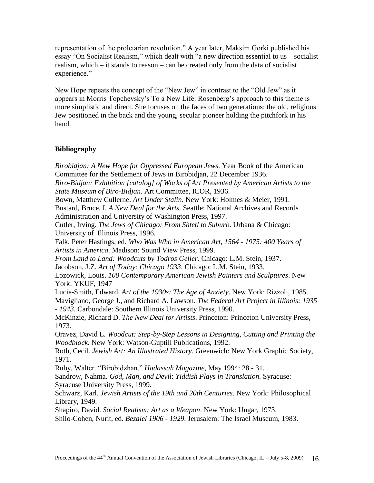representation of the proletarian revolution." A year later, Maksim Gorki published his essay "On Socialist Realism," which dealt with "a new direction essential to us – socialist realism, which – it stands to reason – can be created only from the data of socialist experience."

New Hope repeats the concept of the "New Jew" in contrast to the "Old Jew" as it appears in Morris Topchevsky's To a New Life. Rosenberg's approach to this theme is more simplistic and direct. She focuses on the faces of two generations: the old, religious Jew positioned in the back and the young, secular pioneer holding the pitchfork in his hand.

## **Bibliography**

*Birobidjan: A New Hope for Oppressed European Jews.* Year Book of the American Committee for the Settlement of Jews in Birobidjan, 22 December 1936. *Biro-Bidjan: Exhibition [catalog] of Works of Art Presented by American Artists to the State Museum of Biro-Bidjan*. Art Committee, ICOR, 1936. Bown, Matthew Cullerne. *Art Under Stalin*. New York: Holmes & Meier, 1991. Bustard, Bruce, I. *A New Deal for the Arts*. Seattle: National Archives and Records Administration and University of Washington Press, 1997. Cutler, Irving. *The Jews of Chicago: From Shtetl to Suburb*. Urbana & Chicago: University of Illinois Press, 1996. Falk, Peter Hastings, ed. *Who Was Who in American Art, 1564 - 1975: 400 Years of Artists in America*. Madison: Sound View Press, 1999. *From Land to Land: Woodcuts by Todros Geller*. Chicago: L.M. Stein, 1937. Jacobson, J.Z. *Art of Today: Chicago 1933*. Chicago: L.M. Stein, 1933. Lozowick, Louis. *100 Contemporary American Jewish Painters and Sculptures*. New York: YKUF, 1947 Lucie-Smith, Edward, *Art of the 1930s: The Age of Anxiety*. New York: Rizzoli, 1985. Mavigliano, George J., and Richard A. Lawson. *The Federal Art Project in Illinois: 1935 - 1943*. Carbondale: Southern Illinois University Press, 1990. McKinzie, Richard D. *The New Deal for Artists*. Princeton: Princeton University Press, 1973. Oravez, David L*. Woodcut: Step-by-Step Lessons in Designing, Cutting and Printing the Woodblock.* New York: Watson-Guptill Publications, 1992. Roth, Cecil. *Jewish Art: An Illustrated History*. Greenwich: New York Graphic Society, 1971. Ruby, Walter. ―Birobidzhan.‖ *Hadassah Magazine*, May 1994: 28 - 31. Sandrow, Nahma. *God, Man, and Devil*: *Yiddish Plays in Translation.* Syracuse: Syracuse University Press, 1999. Schwarz, Karl. *Jewish Artists of the 19th and 20th Centuries*. New York: Philosophical Library, 1949. Shapiro, David. *Social Realism: Art as a Weapon*. New York: Ungar, 1973. Shilo-Cohen, Nurit, ed. *Bezalel 1906 - 1929*. Jerusalem: The Israel Museum, 1983.